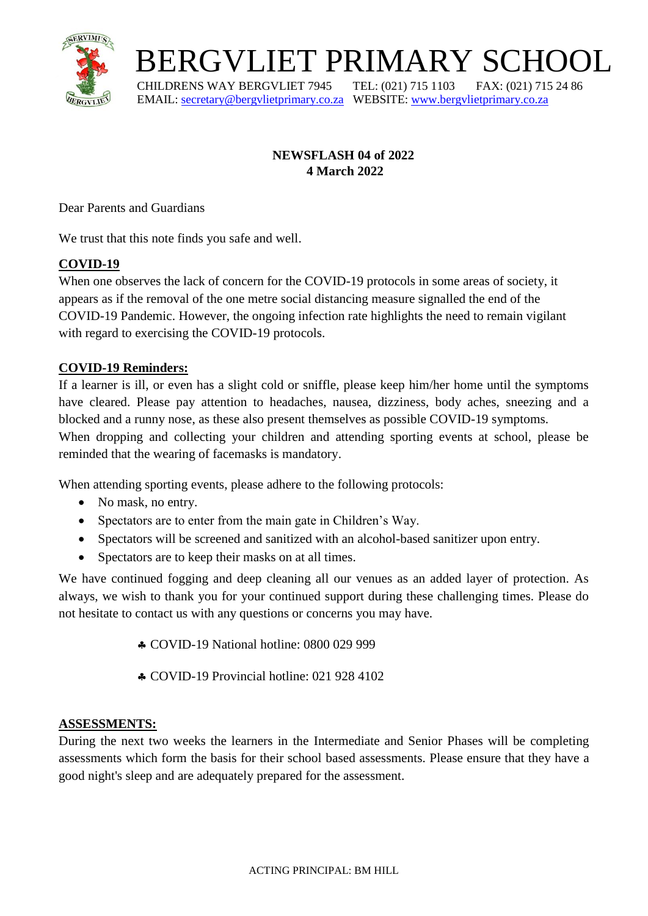

BERGVLIET PRIMARY SCHOOL

 CHILDRENS WAY BERGVLIET 7945 TEL: (021) 715 1103 FAX: (021) 715 24 86 EMAIL: [secretary@bergvlietprimary.co.za](mailto:secretary@bergvlietprimary.co.za) WEBSITE[: www.bergvlietprimary.co.za](http://www.bergvlietprimary.co.za/)

# **NEWSFLASH 04 of 2022 4 March 2022**

Dear Parents and Guardians

We trust that this note finds you safe and well.

# **COVID-19**

When one observes the lack of concern for the COVID-19 protocols in some areas of society, it appears as if the removal of the one metre social distancing measure signalled the end of the COVID-19 Pandemic. However, the ongoing infection rate highlights the need to remain vigilant with regard to exercising the COVID-19 protocols.

## **COVID-19 Reminders:**

If a learner is ill, or even has a slight cold or sniffle, please keep him/her home until the symptoms have cleared. Please pay attention to headaches, nausea, dizziness, body aches, sneezing and a blocked and a runny nose, as these also present themselves as possible COVID-19 symptoms. When dropping and collecting your children and attending sporting events at school, please be reminded that the wearing of facemasks is mandatory.

When attending sporting events, please adhere to the following protocols:

- No mask, no entry.
- Spectators are to enter from the main gate in Children's Way.
- Spectators will be screened and sanitized with an alcohol-based sanitizer upon entry.
- Spectators are to keep their masks on at all times.

We have continued fogging and deep cleaning all our venues as an added layer of protection. As always, we wish to thank you for your continued support during these challenging times. Please do not hesitate to contact us with any questions or concerns you may have.

COVID-19 National hotline: 0800 029 999

COVID-19 Provincial hotline: 021 928 4102

#### **ASSESSMENTS:**

During the next two weeks the learners in the Intermediate and Senior Phases will be completing assessments which form the basis for their school based assessments. Please ensure that they have a good night's sleep and are adequately prepared for the assessment.